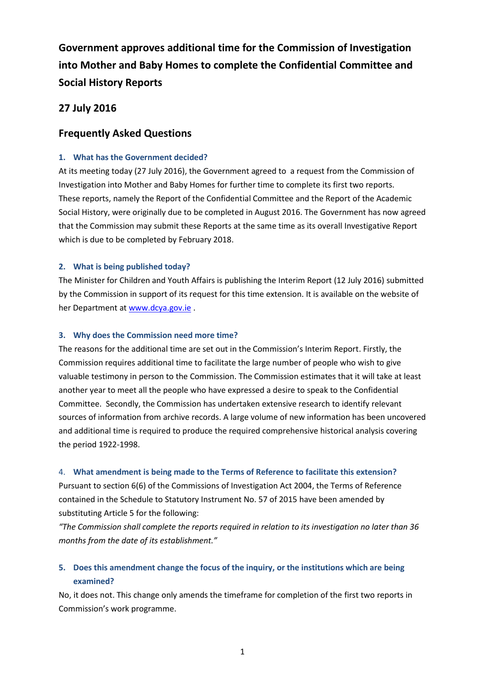**Government approves additional time for the Commission of Investigation into Mother and Baby Homes to complete the Confidential Committee and Social History Reports**

## **27 July 2016**

# **Frequently Asked Questions**

### **1. What has the Government decided?**

At its meeting today (27 July 2016), the Government agreed to a request from the Commission of Investigation into Mother and Baby Homes for further time to complete its first two reports. These reports, namely the Report of the Confidential Committee and the Report of the Academic Social History, were originally due to be completed in August 2016. The Government has now agreed that the Commission may submit these Reports at the same time as its overall Investigative Report which is due to be completed by February 2018.

### **2. What is being published today?**

The Minister for Children and Youth Affairs is publishing the Interim Report (12 July 2016) submitted by the Commission in support of its request for this time extension. It is available on the website of her Department at [www.dcya.gov.ie](http://www.dcya.gov.ie/) .

### **3. Why does the Commission need more time?**

The reasons for the additional time are set out in the Commission's Interim Report. Firstly, the Commission requires additional time to facilitate the large number of people who wish to give valuable testimony in person to the Commission. The Commission estimates that it will take at least another year to meet all the people who have expressed a desire to speak to the Confidential Committee. Secondly, the Commission has undertaken extensive research to identify relevant sources of information from archive records. A large volume of new information has been uncovered and additional time is required to produce the required comprehensive historical analysis covering the period 1922-1998.

#### 4. **What amendment is being made to the Terms of Reference to facilitate this extension?**

Pursuant to section 6(6) of the Commissions of Investigation Act 2004, the Terms of Reference contained in the Schedule to Statutory Instrument No. 57 of 2015 have been amended by substituting Article 5 for the following:

*"The Commission shall complete the reports required in relation to its investigation no later than 36 months from the date of its establishment."*

# **5. Does this amendment change the focus of the inquiry, or the institutions which are being examined?**

No, it does not. This change only amends the timeframe for completion of the first two reports in Commission's work programme.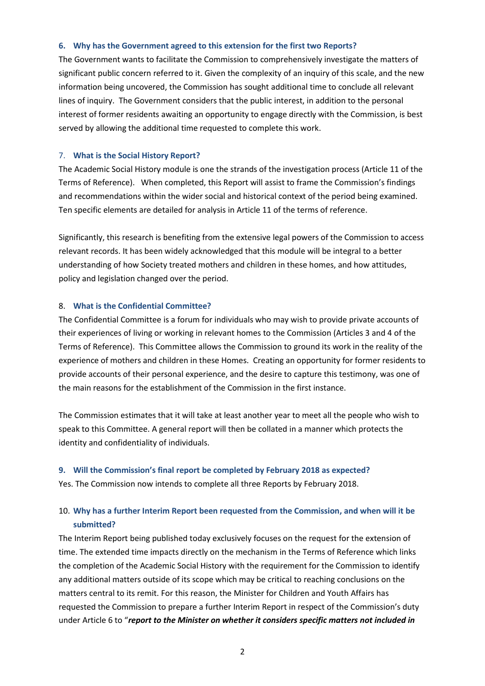#### **6. Why has the Government agreed to this extension for the first two Reports?**

The Government wants to facilitate the Commission to comprehensively investigate the matters of significant public concern referred to it. Given the complexity of an inquiry of this scale, and the new information being uncovered, the Commission has sought additional time to conclude all relevant lines of inquiry. The Government considers that the public interest, in addition to the personal interest of former residents awaiting an opportunity to engage directly with the Commission, is best served by allowing the additional time requested to complete this work.

#### 7. **What is the Social History Report?**

The Academic Social History module is one the strands of the investigation process (Article 11 of the Terms of Reference). When completed, this Report will assist to frame the Commission's findings and recommendations within the wider social and historical context of the period being examined. Ten specific elements are detailed for analysis in Article 11 of the terms of reference.

Significantly, this research is benefiting from the extensive legal powers of the Commission to access relevant records. It has been widely acknowledged that this module will be integral to a better understanding of how Society treated mothers and children in these homes, and how attitudes, policy and legislation changed over the period.

### 8. **What is the Confidential Committee?**

The Confidential Committee is a forum for individuals who may wish to provide private accounts of their experiences of living or working in relevant homes to the Commission (Articles 3 and 4 of the Terms of Reference). This Committee allows the Commission to ground its work in the reality of the experience of mothers and children in these Homes. Creating an opportunity for former residents to provide accounts of their personal experience, and the desire to capture this testimony, was one of the main reasons for the establishment of the Commission in the first instance.

The Commission estimates that it will take at least another year to meet all the people who wish to speak to this Committee. A general report will then be collated in a manner which protects the identity and confidentiality of individuals.

### **9. Will the Commission's final report be completed by February 2018 as expected?**

Yes. The Commission now intends to complete all three Reports by February 2018.

# 10. **Why has a further Interim Report been requested from the Commission, and when will it be submitted?**

The Interim Report being published today exclusively focuses on the request for the extension of time. The extended time impacts directly on the mechanism in the Terms of Reference which links the completion of the Academic Social History with the requirement for the Commission to identify any additional matters outside of its scope which may be critical to reaching conclusions on the matters central to its remit. For this reason, the Minister for Children and Youth Affairs has requested the Commission to prepare a further Interim Report in respect of the Commission's duty under Article 6 to "*report to the Minister on whether it considers specific matters not included in*